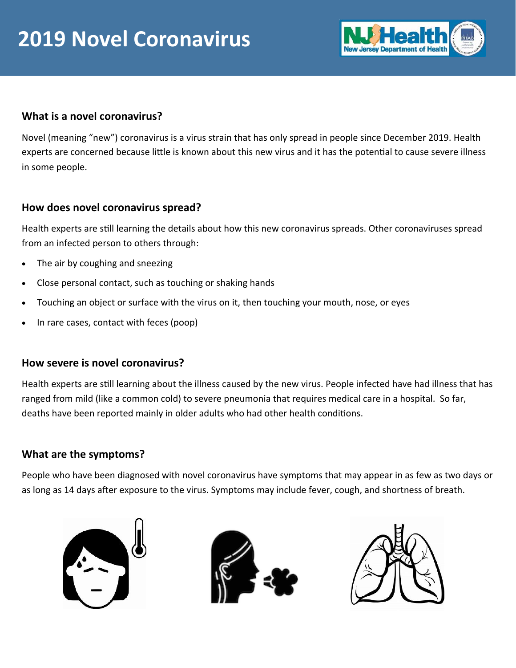

### **What is a novel coronavirus?**

Novel (meaning "new") coronavirus is a virus strain that has only spread in people since December 2019. Health experts are concerned because little is known about this new virus and it has the potential to cause severe illness in some people.

### **How does novel coronavirus spread?**

Health experts are sƟll learning the details about how this new coronavirus spreads. Other coronaviruses spread from an infected person to others through:

- The air by coughing and sneezing
- Close personal contact, such as touching or shaking hands
- Touching an object or surface with the virus on it, then touching your mouth, nose, or eyes
- In rare cases, contact with feces (poop)

### **How severe is novel coronavirus?**

Health experts are still learning about the illness caused by the new virus. People infected have had illness that has ranged from mild (like a common cold) to severe pneumonia that requires medical care in a hospital. So far, deaths have been reported mainly in older adults who had other health conditions.

### **What are the symptoms?**

People who have been diagnosed with novel coronavirus have symptoms that may appear in as few as two days or as long as 14 days after exposure to the virus. Symptoms may include fever, cough, and shortness of breath.